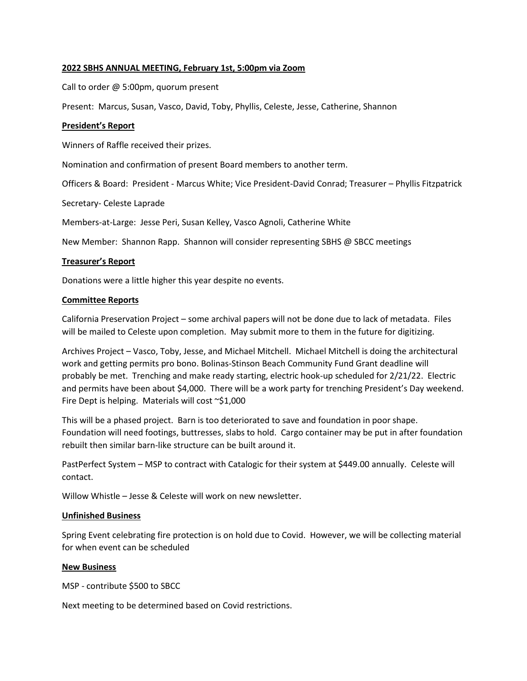# **2022 SBHS ANNUAL MEETING, February 1st, 5:00pm via Zoom**

Call to order @ 5:00pm, quorum present

Present: Marcus, Susan, Vasco, David, Toby, Phyllis, Celeste, Jesse, Catherine, Shannon

### **President's Report**

Winners of Raffle received their prizes.

Nomination and confirmation of present Board members to another term.

Officers & Board: President - Marcus White; Vice President-David Conrad; Treasurer – Phyllis Fitzpatrick

Secretary- Celeste Laprade

Members-at-Large: Jesse Peri, Susan Kelley, Vasco Agnoli, Catherine White

New Member: Shannon Rapp. Shannon will consider representing SBHS @ SBCC meetings

## **Treasurer's Report**

Donations were a little higher this year despite no events.

## **Committee Reports**

California Preservation Project – some archival papers will not be done due to lack of metadata. Files will be mailed to Celeste upon completion. May submit more to them in the future for digitizing.

Archives Project – Vasco, Toby, Jesse, and Michael Mitchell. Michael Mitchell is doing the architectural work and getting permits pro bono. Bolinas-Stinson Beach Community Fund Grant deadline will probably be met. Trenching and make ready starting, electric hook-up scheduled for 2/21/22. Electric and permits have been about \$4,000. There will be a work party for trenching President's Day weekend. Fire Dept is helping. Materials will cost  $\sim$ \$1,000

This will be a phased project. Barn is too deteriorated to save and foundation in poor shape. Foundation will need footings, buttresses, slabs to hold. Cargo container may be put in after foundation rebuilt then similar barn-like structure can be built around it.

PastPerfect System – MSP to contract with Catalogic for their system at \$449.00 annually. Celeste will contact.

Willow Whistle – Jesse & Celeste will work on new newsletter.

#### **Unfinished Business**

Spring Event celebrating fire protection is on hold due to Covid. However, we will be collecting material for when event can be scheduled

#### **New Business**

MSP - contribute \$500 to SBCC

Next meeting to be determined based on Covid restrictions.